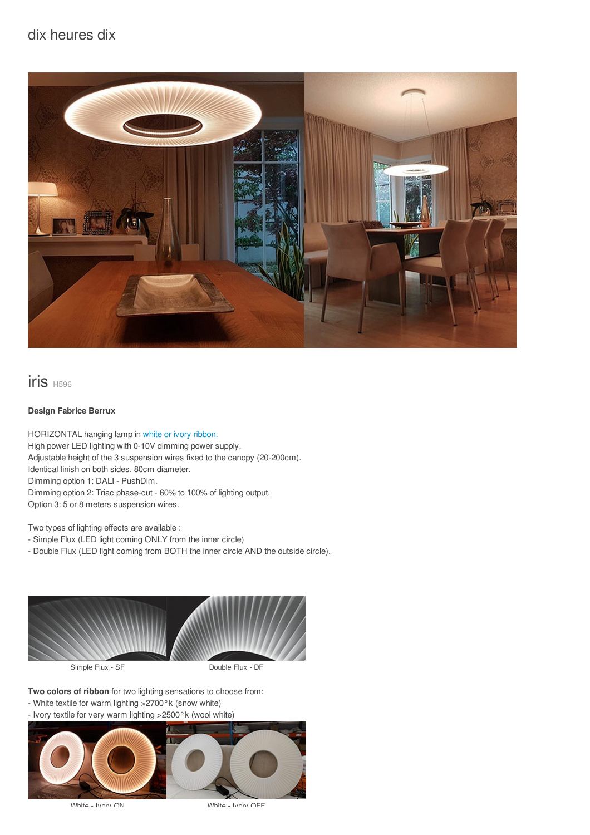## dix heures dix



iris H596

## **Design Fabrice Berrux**

HORIZONTAL hanging lamp in white or ivory [ribbon.](/files/documents/compo/iris-blanc-ivoire.jpg) High power LED lighting with 0-10V dimming power supply. Adjustable height of the 3 suspension wires fixed to the canopy (20-200cm). Identical finish on both sides. 80cm diameter. Dimming option 1: DALI - PushDim. Dimming option 2: Triac phase-cut - 60% to 100% of lighting output. Option 3: 5 or 8 meters suspension wires.

Two types of lighting effects are available :

- Simple Flux (LED light coming ONLY from the inner circle)

- Double Flux (LED light coming from BOTH the inner circle AND the outside circle).



**Two colors of ribbon** for two lighting sensations to choose from:

- White textile for warm lighting >2700°k (snow white)
- Ivory textile for very warm lighting >2500°k (wool white)



White - Ivory ON White - Ivory OFF